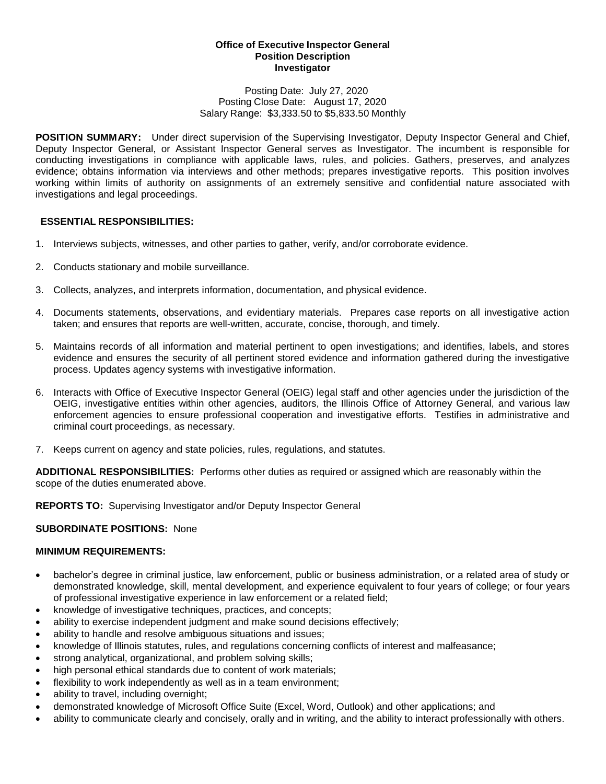#### **Office of Executive Inspector General Position Description Investigator**

#### Posting Date: July 27, 2020 Posting Close Date: August 17, 2020 Salary Range: \$3,333.50 to \$5,833.50 Monthly

**POSITION SUMMARY:** Under direct supervision of the Supervising Investigator, Deputy Inspector General and Chief, Deputy Inspector General, or Assistant Inspector General serves as Investigator. The incumbent is responsible for conducting investigations in compliance with applicable laws, rules, and policies. Gathers, preserves, and analyzes evidence; obtains information via interviews and other methods; prepares investigative reports. This position involves working within limits of authority on assignments of an extremely sensitive and confidential nature associated with investigations and legal proceedings.

# **ESSENTIAL RESPONSIBILITIES:**

- 1. Interviews subjects, witnesses, and other parties to gather, verify, and/or corroborate evidence.
- 2. Conducts stationary and mobile surveillance.
- 3. Collects, analyzes, and interprets information, documentation, and physical evidence.
- 4. Documents statements, observations, and evidentiary materials. Prepares case reports on all investigative action taken; and ensures that reports are well-written, accurate, concise, thorough, and timely.
- 5. Maintains records of all information and material pertinent to open investigations; and identifies, labels, and stores evidence and ensures the security of all pertinent stored evidence and information gathered during the investigative process. Updates agency systems with investigative information.
- 6. Interacts with Office of Executive Inspector General (OEIG) legal staff and other agencies under the jurisdiction of the OEIG, investigative entities within other agencies, auditors, the Illinois Office of Attorney General, and various law enforcement agencies to ensure professional cooperation and investigative efforts. Testifies in administrative and criminal court proceedings, as necessary.
- 7. Keeps current on agency and state policies, rules, regulations, and statutes.

**ADDITIONAL RESPONSIBILITIES:** Performs other duties as required or assigned which are reasonably within the scope of the duties enumerated above.

**REPORTS TO:** Supervising Investigator and/or Deputy Inspector General

# **SUBORDINATE POSITIONS:** None

# **MINIMUM REQUIREMENTS:**

- bachelor's degree in criminal justice, law enforcement, public or business administration, or a related area of study or demonstrated knowledge, skill, mental development, and experience equivalent to four years of college; or four years of professional investigative experience in law enforcement or a related field;
- knowledge of investigative techniques, practices, and concepts;
- ability to exercise independent judgment and make sound decisions effectively;
- ability to handle and resolve ambiguous situations and issues;
- knowledge of Illinois statutes, rules, and regulations concerning conflicts of interest and malfeasance;
- strong analytical, organizational, and problem solving skills;
- high personal ethical standards due to content of work materials;
- flexibility to work independently as well as in a team environment;
- ability to travel, including overnight;
- demonstrated knowledge of Microsoft Office Suite (Excel, Word, Outlook) and other applications; and
- ability to communicate clearly and concisely, orally and in writing, and the ability to interact professionally with others.